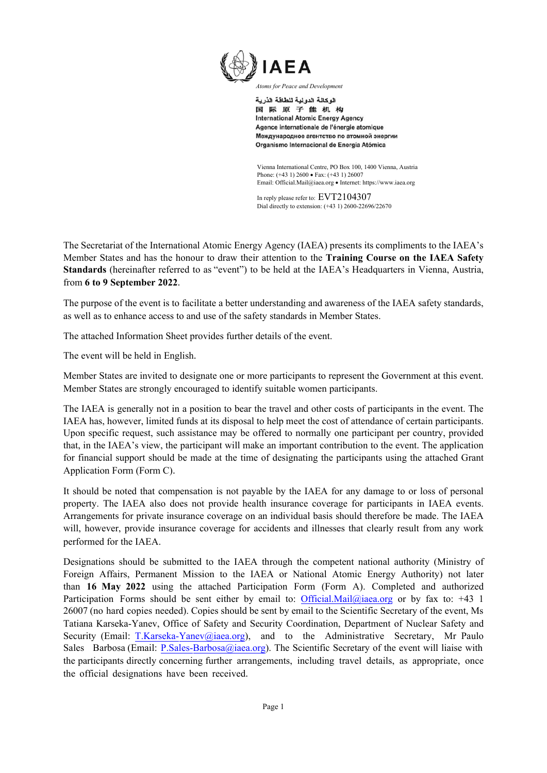

*Atoms for Peace and Development* 

الوكالة الدولية للطاقة الذرية 国际原子能机构 **International Atomic Energy Agency** Agence internationale de l'énergie atomique Международное агентство по атомной энергии Organismo Internacional de Energía Atómica

Vienna International Centre, PO Box 100, 1400 Vienna, Austria Phone: (+43 1) 2600 • Fax: (+43 1) 26007 Email: Official.Mail@iaea.org Internet: https://www.iaea.org

In reply please refer to: EVT2104307 Dial directly to extension: (+43 1) 2600-22696/22670

The Secretariat of the International Atomic Energy Agency (IAEA) presents its compliments to the IAEA's Member States and has the honour to draw their attention to the **Training Course on the IAEA Safety Standards** (hereinafter referred to as "event") to be held at the IAEA's Headquarters in Vienna, Austria, from **6 to 9 September 2022**.

The purpose of the event is to facilitate a better understanding and awareness of the IAEA safety standards, as well as to enhance access to and use of the safety standards in Member States.

The attached Information Sheet provides further details of the event.

The event will be held in English.

Member States are invited to designate one or more participants to represent the Government at this event. Member States are strongly encouraged to identify suitable women participants.

The IAEA is generally not in a position to bear the travel and other costs of participants in the event. The IAEA has, however, limited funds at its disposal to help meet the cost of attendance of certain participants. Upon specific request, such assistance may be offered to normally one participant per country, provided that, in the IAEA's view, the participant will make an important contribution to the event. The application for financial support should be made at the time of designating the participants using the attached Grant Application Form (Form C).

It should be noted that compensation is not payable by the IAEA for any damage to or loss of personal property. The IAEA also does not provide health insurance coverage for participants in IAEA events. Arrangements for private insurance coverage on an individual basis should therefore be made. The IAEA will, however, provide insurance coverage for accidents and illnesses that clearly result from any work performed for the IAEA.

Designations should be submitted to the IAEA through the competent national authority (Ministry of Foreign Affairs, Permanent Mission to the IAEA or National Atomic Energy Authority) not later than **16 May 2022** using the attached Participation Form (Form A). Completed and authorized Participation Forms should be sent either by email to: Official.Mail@iaea.org or by fax to: +43 1 26007 (no hard copies needed). Copies should be sent by email to the Scientific Secretary of the event, Ms Tatiana Karseka-Yanev, Office of Safety and Security Coordination, Department of Nuclear Safety and Security (Email: T.Karseka-Yanev@iaea.org), and to the Administrative Secretary, Mr Paulo Sales Barbosa (Email: P.Sales-Barbosa@iaea.org). The Scientific Secretary of the event will liaise with the participants directly concerning further arrangements, including travel details, as appropriate, once the official designations have been received.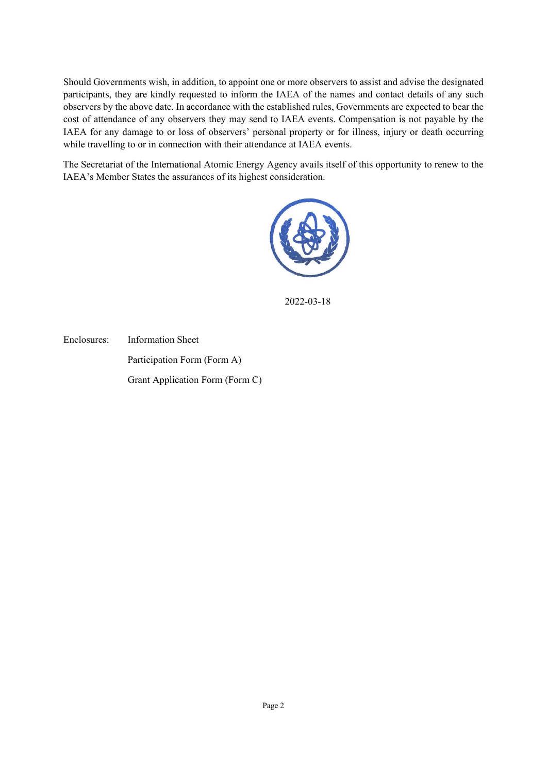Should Governments wish, in addition, to appoint one or more observers to assist and advise the designated participants, they are kindly requested to inform the IAEA of the names and contact details of any such observers by the above date. In accordance with the established rules, Governments are expected to bear the cost of attendance of any observers they may send to IAEA events. Compensation is not payable by the IAEA for any damage to or loss of observers' personal property or for illness, injury or death occurring while travelling to or in connection with their attendance at IAEA events.

The Secretariat of the International Atomic Energy Agency avails itself of this opportunity to renew to the IAEA's Member States the assurances of its highest consideration.



2022-03-18

Enclosures: Information Sheet Participation Form (Form A) Grant Application Form (Form C)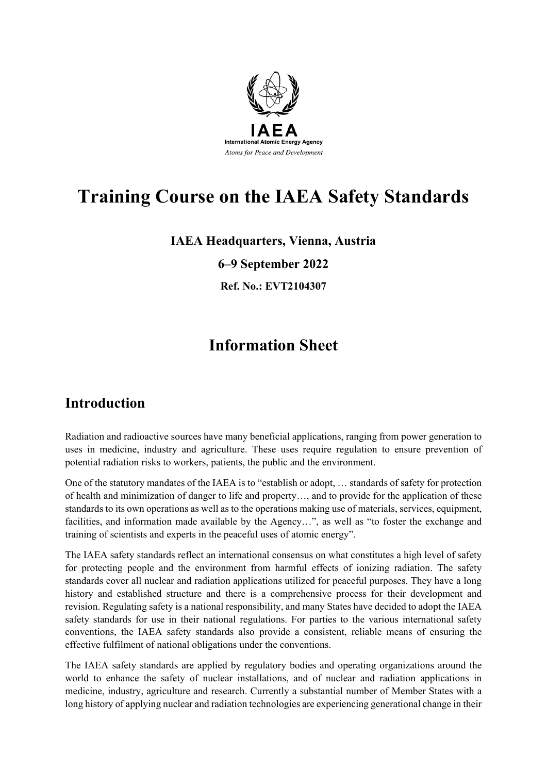

# **Training Course on the IAEA Safety Standards**

# **IAEA Headquarters, Vienna, Austria**

**6–9 September 2022**

**Ref. No.: EVT2104307** 

# **Information Sheet**

# **Introduction**

Radiation and radioactive sources have many beneficial applications, ranging from power generation to uses in medicine, industry and agriculture. These uses require regulation to ensure prevention of potential radiation risks to workers, patients, the public and the environment.

One of the statutory mandates of the IAEA is to "establish or adopt, … standards of safety for protection of health and minimization of danger to life and property…, and to provide for the application of these standards to its own operations as well as to the operations making use of materials, services, equipment, facilities, and information made available by the Agency…", as well as "to foster the exchange and training of scientists and experts in the peaceful uses of atomic energy".

The IAEA safety standards reflect an international consensus on what constitutes a high level of safety for protecting people and the environment from harmful effects of ionizing radiation. The safety standards cover all nuclear and radiation applications utilized for peaceful purposes. They have a long history and established structure and there is a comprehensive process for their development and revision. Regulating safety is a national responsibility, and many States have decided to adopt the IAEA safety standards for use in their national regulations. For parties to the various international safety conventions, the IAEA safety standards also provide a consistent, reliable means of ensuring the effective fulfilment of national obligations under the conventions.

The IAEA safety standards are applied by regulatory bodies and operating organizations around the world to enhance the safety of nuclear installations, and of nuclear and radiation applications in medicine, industry, agriculture and research. Currently a substantial number of Member States with a long history of applying nuclear and radiation technologies are experiencing generational change in their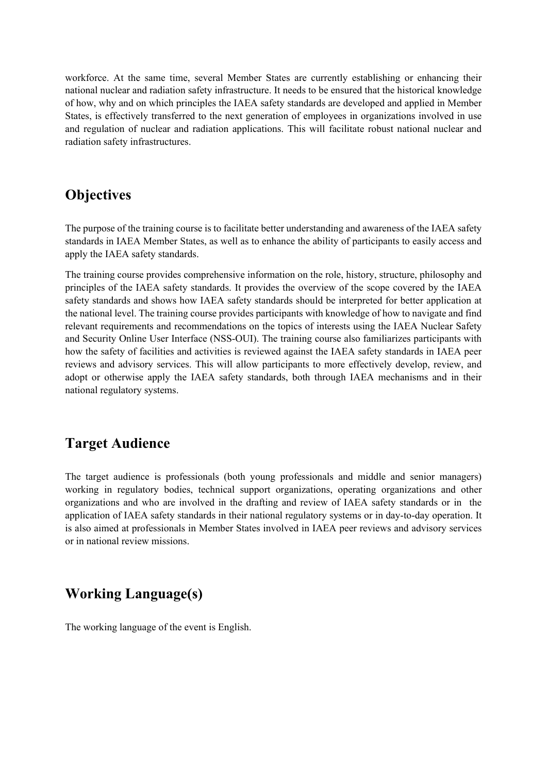workforce. At the same time, several Member States are currently establishing or enhancing their national nuclear and radiation safety infrastructure. It needs to be ensured that the historical knowledge of how, why and on which principles the IAEA safety standards are developed and applied in Member States, is effectively transferred to the next generation of employees in organizations involved in use and regulation of nuclear and radiation applications. This will facilitate robust national nuclear and radiation safety infrastructures.

# **Objectives**

The purpose of the training course is to facilitate better understanding and awareness of the IAEA safety standards in IAEA Member States, as well as to enhance the ability of participants to easily access and apply the IAEA safety standards.

The training course provides comprehensive information on the role, history, structure, philosophy and principles of the IAEA safety standards. It provides the overview of the scope covered by the IAEA safety standards and shows how IAEA safety standards should be interpreted for better application at the national level. The training course provides participants with knowledge of how to navigate and find relevant requirements and recommendations on the topics of interests using the IAEA Nuclear Safety and Security Online User Interface (NSS-OUI). The training course also familiarizes participants with how the safety of facilities and activities is reviewed against the IAEA safety standards in IAEA peer reviews and advisory services. This will allow participants to more effectively develop, review, and adopt or otherwise apply the IAEA safety standards, both through IAEA mechanisms and in their national regulatory systems.

# **Target Audience**

The target audience is professionals (both young professionals and middle and senior managers) working in regulatory bodies, technical support organizations, operating organizations and other organizations and who are involved in the drafting and review of IAEA safety standards or in the application of IAEA safety standards in their national regulatory systems or in day-to-day operation. It is also aimed at professionals in Member States involved in IAEA peer reviews and advisory services or in national review missions.

# **Working Language(s)**

The working language of the event is English.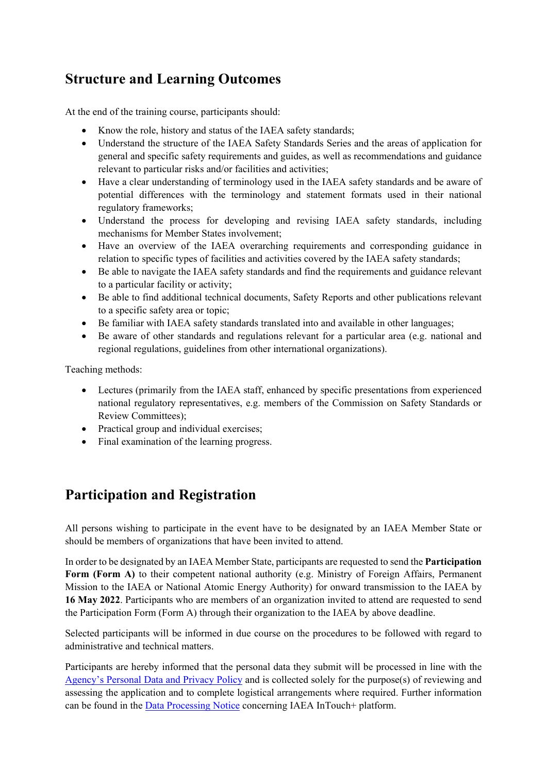# **Structure and Learning Outcomes**

At the end of the training course, participants should:

- Know the role, history and status of the IAEA safety standards;
- Understand the structure of the IAEA Safety Standards Series and the areas of application for general and specific safety requirements and guides, as well as recommendations and guidance relevant to particular risks and/or facilities and activities;
- Have a clear understanding of terminology used in the IAEA safety standards and be aware of potential differences with the terminology and statement formats used in their national regulatory frameworks;
- Understand the process for developing and revising IAEA safety standards, including mechanisms for Member States involvement;
- Have an overview of the IAEA overarching requirements and corresponding guidance in relation to specific types of facilities and activities covered by the IAEA safety standards;
- Be able to navigate the IAEA safety standards and find the requirements and guidance relevant to a particular facility or activity;
- Be able to find additional technical documents, Safety Reports and other publications relevant to a specific safety area or topic;
- Be familiar with IAEA safety standards translated into and available in other languages;
- Be aware of other standards and regulations relevant for a particular area (e.g. national and regional regulations, guidelines from other international organizations).

Teaching methods:

- Lectures (primarily from the IAEA staff, enhanced by specific presentations from experienced national regulatory representatives, e.g. members of the Commission on Safety Standards or Review Committees);
- Practical group and individual exercises;
- Final examination of the learning progress.

# **Participation and Registration**

All persons wishing to participate in the event have to be designated by an IAEA Member State or should be members of organizations that have been invited to attend.

In order to be designated by an IAEA Member State, participants are requested to send the **Participation Form (Form A)** to their competent national authority (e.g. Ministry of Foreign Affairs, Permanent Mission to the IAEA or National Atomic Energy Authority) for onward transmission to the IAEA by **16 May 2022**. Participants who are members of an organization invited to attend are requested to send the Participation Form (Form A) through their organization to the IAEA by above deadline.

Selected participants will be informed in due course on the procedures to be followed with regard to administrative and technical matters.

Participants are hereby informed that the personal data they submit will be processed in line with the [Agency's Personal Data and Privacy Policy](https://www.iaea.org/about/privacy-policy#:%7E:text=The%20IAEA%20is%20committed%20to,accountable%20and%20non%2Ddiscriminatory%20manner.&text=The%20Privacy%20Policy%20provides%20the,carrying%20out%20its%20mandated%20activities.) and is collected solely for the purpose(s) of reviewing and assessing the application and to complete logistical arrangements where required. Further information can be found in the [Data Processing Notice](https://nucleus.iaea.org/sites/intouchplushelp/Documents/itp_dpn.pdf) concerning IAEA InTouch+ platform.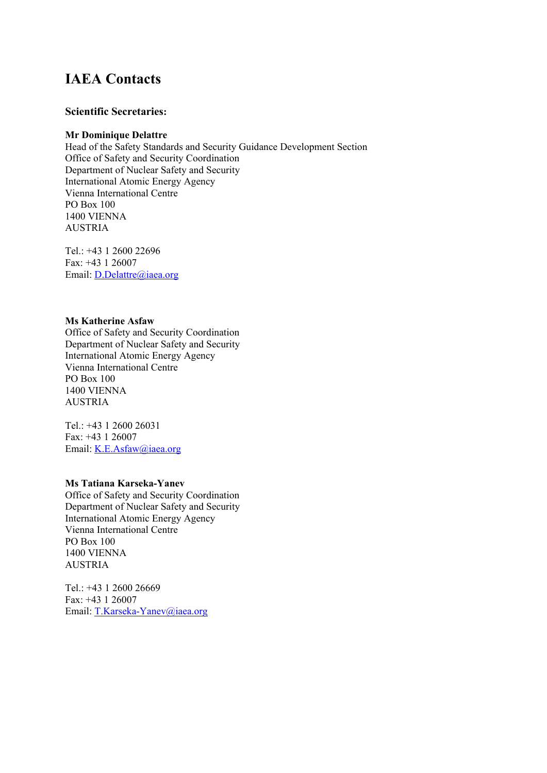# **IAEA Contacts**

### **Scientific Secretaries:**

### **Mr Dominique Delattre**

Head of the Safety Standards and Security Guidance Development Section Office of Safety and Security Coordination Department of Nuclear Safety and Security International Atomic Energy Agency Vienna International Centre PO Box 100 1400 VIENNA AUSTRIA

Tel.: +43 1 2600 22696 Fax: +43 1 26007 Email: [D.Delattre@iaea.org](mailto:D.Delattre@iaea.org)

#### **Ms Katherine Asfaw**

Office of Safety and Security Coordination Department of Nuclear Safety and Security International Atomic Energy Agency Vienna International Centre PO Box 100 1400 VIENNA AUSTRIA

Tel.: +43 1 2600 26031 Fax: +43 1 26007 Email: [K.E.Asfaw@iaea.org](mailto:K.E.Asfaw@iaea.org)

### **Ms Tatiana Karseka-Yanev**

Office of Safety and Security Coordination Department of Nuclear Safety and Security International Atomic Energy Agency Vienna International Centre PO Box 100 1400 VIENNA AUSTRIA

Tel.: +43 1 2600 26669 Fax: +43 1 26007 Email: [T.Karseka-Yanev@iaea.org](mailto:T.Karseka-Yanev@iaea.org)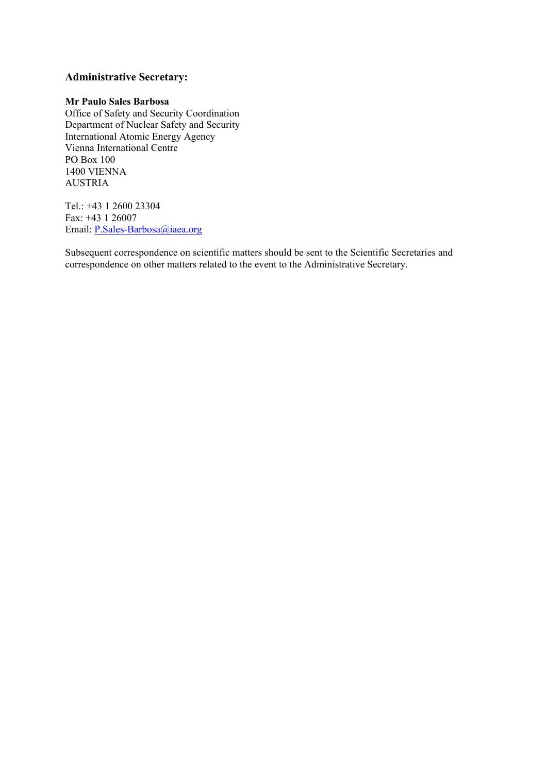### **Administrative Secretary:**

### **Mr Paulo Sales Barbosa**

Office of Safety and Security Coordination Department of Nuclear Safety and Security International Atomic Energy Agency Vienna International Centre PO Box 100 1400 VIENNA AUSTRIA

Tel.: +43 1 2600 23304 Fax: +43 1 26007 Email: [P.Sales-Barbosa@iaea.org](mailto:P.Sales-Barbosa@iaea.org)

Subsequent correspondence on scientific matters should be sent to the Scientific Secretaries and correspondence on other matters related to the event to the Administrative Secretary.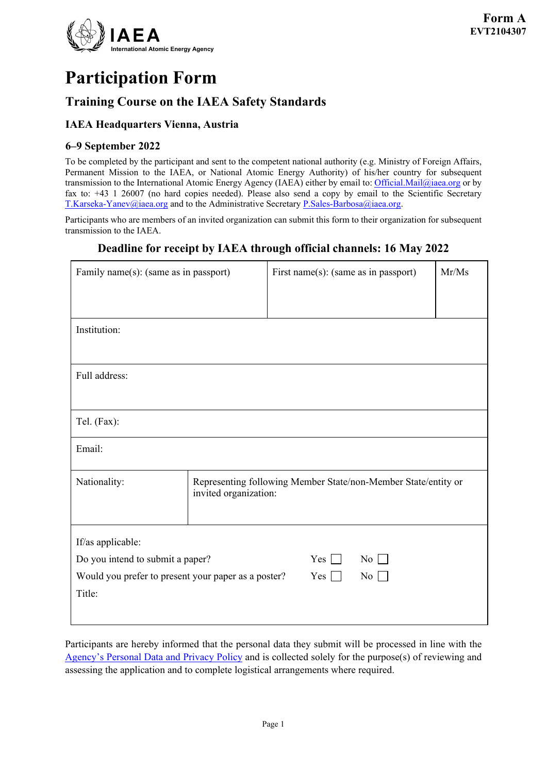

# **Participation Form**

## **Training Course on the IAEA Safety Standards**

## **IAEA Headquarters Vienna, Austria**

## **6–9 September 2022**

To be completed by the participant and sent to the competent national authority (e.g. Ministry of Foreign Affairs, Permanent Mission to the IAEA, or National Atomic Energy Authority) of his/her country for subsequent transmission to the International Atomic Energy Agency (IAEA) either by email to[: Official.Mail@iaea.org](mailto:official.mail@iaea.org) or by fax to: +43 1 26007 (no hard copies needed). Please also send a copy by email to the Scientific Secretary [T.Karseka-Yanev@iaea.org](mailto:T.Karseka-Yanev@iaea.org) and to the Administrative Secretary [P.Sales-Barbosa@iaea.org.](mailto:P.Sales-Barbosa@iaea.org)

Participants who are members of an invited organization can submit this form to their organization for subsequent transmission to the IAEA.

## **Deadline for receipt by IAEA through official channels: 16 May 2022**

| Family name(s): (same as in passport)                                                                                                                                  |                                                                                         | First name(s): (same as in passport) |  | Mr/Ms |
|------------------------------------------------------------------------------------------------------------------------------------------------------------------------|-----------------------------------------------------------------------------------------|--------------------------------------|--|-------|
| Institution:                                                                                                                                                           |                                                                                         |                                      |  |       |
| Full address:                                                                                                                                                          |                                                                                         |                                      |  |       |
| Tel. (Fax):                                                                                                                                                            |                                                                                         |                                      |  |       |
| Email:                                                                                                                                                                 |                                                                                         |                                      |  |       |
| Nationality:                                                                                                                                                           | Representing following Member State/non-Member State/entity or<br>invited organization: |                                      |  |       |
| If/as applicable:<br>Do you intend to submit a paper?<br>$Yes$    <br>No<br>Would you prefer to present your paper as a poster?<br>Yes<br>No<br>$\mathbf{I}$<br>Title: |                                                                                         |                                      |  |       |

Participants are hereby informed that the personal data they submit will be processed in line with the [Agency's Personal Data and Privacy Policy](https://www.iaea.org/about/privacy-policy#:%7E:text=The%20IAEA%20is%20committed%20to,accountable%20and%20non%2Ddiscriminatory%20manner.&text=The%20Privacy%20Policy%20provides%20the,carrying%20out%20its%20mandated%20activities.) and is collected solely for the purpose(s) of reviewing and assessing the application and to complete logistical arrangements where required.